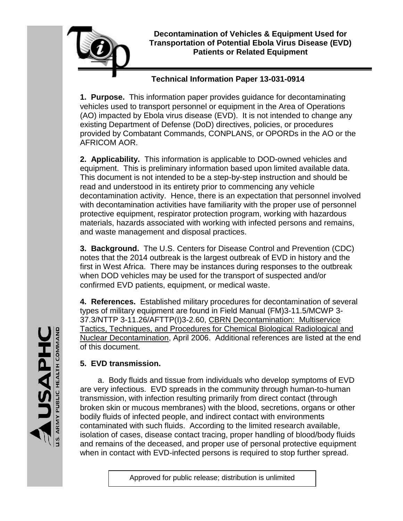

# **Technical Information Paper 13-031-0914**

**1. Purpose.** This information paper provides guidance for decontaminating vehicles used to transport personnel or equipment in the Area of Operations (AO) impacted by Ebola virus disease (EVD). It is not intended to change any existing Department of Defense (DoD) directives, policies, or procedures provided by Combatant Commands, CONPLANS, or OPORDs in the AO or the AFRICOM AOR.

**2. Applicability.** This information is applicable to DOD-owned vehicles and equipment. This is preliminary information based upon limited available data. This document is not intended to be a step-by-step instruction and should be read and understood in its entirety prior to commencing any vehicle decontamination activity. Hence, there is an expectation that personnel involved with decontamination activities have familiarity with the proper use of personnel protective equipment, respirator protection program, working with hazardous materials, hazards associated with working with infected persons and remains, and waste management and disposal practices.

**3. Background.** The U.S. Centers for Disease Control and Prevention (CDC) notes that the 2014 outbreak is the largest outbreak of EVD in history and the first in West Africa. There may be instances during responses to the outbreak when DOD vehicles may be used for the transport of suspected and/or confirmed EVD patients, equipment, or medical waste.

**4. References.** Established military procedures for decontamination of several types of military equipment are found in Field Manual (FM)3-11.5/MCWP 3- 37.3/NTTP 3-11.26/AFTTP(I)3-2.60, CBRN Decontamination: Multiservice Tactics, Techniques, and Procedures for Chemical Biological Radiological and Nuclear Decontamination, April 2006. Additional references are listed at the end of this document.

# **5. EVD transmission.**

a. Body fluids and tissue from individuals who develop symptoms of EVD are very infectious. EVD spreads in the community through human-to-human transmission, with infection resulting primarily from direct contact (through broken skin or mucous membranes) with the blood, secretions, organs or other bodily fluids of infected people, and indirect contact with environments contaminated with such fluids. According to the limited research available, isolation of cases, disease contact tracing, proper handling of blood/body fluids and remains of the deceased, and proper use of personal protective equipment when in contact with EVD-infected persons is required to stop further spread.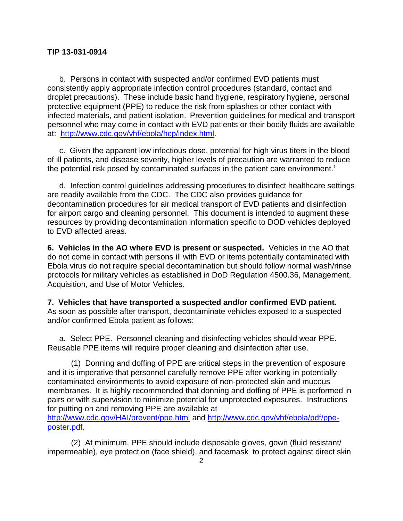b. Persons in contact with suspected and/or confirmed EVD patients must consistently apply appropriate infection control procedures (standard, contact and droplet precautions). These include basic hand hygiene, respiratory hygiene, personal protective equipment (PPE) to reduce the risk from splashes or other contact with infected materials, and patient isolation. Prevention guidelines for medical and transport personnel who may come in contact with EVD patients or their bodily fluids are available at: [http://www.cdc.gov/vhf/ebola/hcp/index.html.](http://www.cdc.gov/vhf/ebola/hcp/index.html)

c. Given the apparent low infectious dose, potential for high virus titers in the blood of ill patients, and disease severity, higher levels of precaution are warranted to reduce the potential risk posed by contaminated surfaces in the patient care environment. 1

d. Infection control guidelines addressing procedures to disinfect healthcare settings are readily available from the CDC. The CDC also provides guidance for decontamination procedures for air medical transport of EVD patients and disinfection for airport cargo and cleaning personnel. This document is intended to augment these resources by providing decontamination information specific to DOD vehicles deployed to EVD affected areas.

**6. Vehicles in the AO where EVD is present or suspected.** Vehicles in the AO that do not come in contact with persons ill with EVD or items potentially contaminated with Ebola virus do not require special decontamination but should follow normal wash/rinse protocols for military vehicles as established in DoD Regulation 4500.36, Management, Acquisition, and Use of Motor Vehicles.

**7. Vehicles that have transported a suspected and/or confirmed EVD patient.** As soon as possible after transport, decontaminate vehicles exposed to a suspected and/or confirmed Ebola patient as follows:

a. Select PPE. Personnel cleaning and disinfecting vehicles should wear PPE. Reusable PPE items will require proper cleaning and disinfection after use.

(1) Donning and doffing of PPE are critical steps in the prevention of exposure and it is imperative that personnel carefully remove PPE after working in potentially contaminated environments to avoid exposure of non-protected skin and mucous membranes. It is highly recommended that donning and doffing of PPE is performed in pairs or with supervision to minimize potential for unprotected exposures. Instructions for putting on and removing PPE are available at

<http://www.cdc.gov/HAI/prevent/ppe.html> and [http://www.cdc.gov/vhf/ebola/pdf/ppe](http://www.cdc.gov/vhf/ebola/pdf/ppe-poster.pdf)[poster.pdf.](http://www.cdc.gov/vhf/ebola/pdf/ppe-poster.pdf)

(2) At minimum, PPE should include disposable gloves, gown (fluid resistant/ impermeable), eye protection (face shield), and facemask to protect against direct skin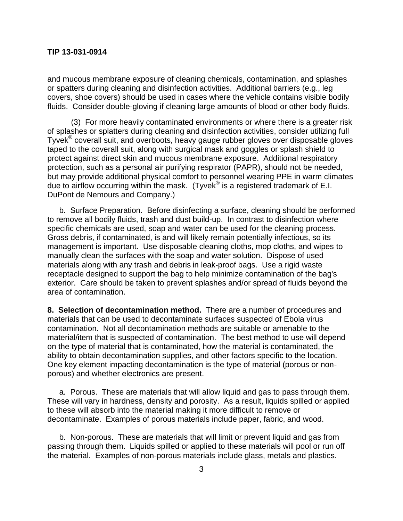and mucous membrane exposure of cleaning chemicals, contamination, and splashes or spatters during cleaning and disinfection activities. Additional barriers (e.g., leg covers, shoe covers) should be used in cases where the vehicle contains visible bodily fluids. Consider double-gloving if cleaning large amounts of blood or other body fluids.

(3) For more heavily contaminated environments or where there is a greater risk of splashes or splatters during cleaning and disinfection activities, consider utilizing full Tyvek<sup>®</sup> coverall suit, and overboots, heavy gauge rubber gloves over disposable gloves taped to the coverall suit, along with surgical mask and goggles or splash shield to protect against direct skin and mucous membrane exposure. Additional respiratory protection, such as a personal air purifying respirator (PAPR), should not be needed, but may provide additional physical comfort to personnel wearing PPE in warm climates due to airflow occurring within the mask. (Tyvek<sup>®</sup> is a registered trademark of E.I. DuPont de Nemours and Company.)

b. Surface Preparation. Before disinfecting a surface, cleaning should be performed to remove all bodily fluids, trash and dust build-up. In contrast to disinfection where specific chemicals are used, soap and water can be used for the cleaning process. Gross debris, if contaminated, is and will likely remain potentially infectious, so its management is important. Use disposable cleaning cloths, mop cloths, and wipes to manually clean the surfaces with the soap and water solution. Dispose of used materials along with any trash and debris in leak-proof bags. Use a rigid waste receptacle designed to support the bag to help minimize contamination of the bag's exterior. Care should be taken to prevent splashes and/or spread of fluids beyond the area of contamination.

**8. Selection of decontamination method.** There are a number of procedures and materials that can be used to decontaminate surfaces suspected of Ebola virus contamination. Not all decontamination methods are suitable or amenable to the material/item that is suspected of contamination. The best method to use will depend on the type of material that is contaminated, how the material is contaminated, the ability to obtain decontamination supplies, and other factors specific to the location. One key element impacting decontamination is the type of material (porous or nonporous) and whether electronics are present.

a. Porous. These are materials that will allow liquid and gas to pass through them. These will vary in hardness, density and porosity. As a result, liquids spilled or applied to these will absorb into the material making it more difficult to remove or decontaminate. Examples of porous materials include paper, fabric, and wood.

b. Non-porous. These are materials that will limit or prevent liquid and gas from passing through them. Liquids spilled or applied to these materials will pool or run off the material. Examples of non-porous materials include glass, metals and plastics.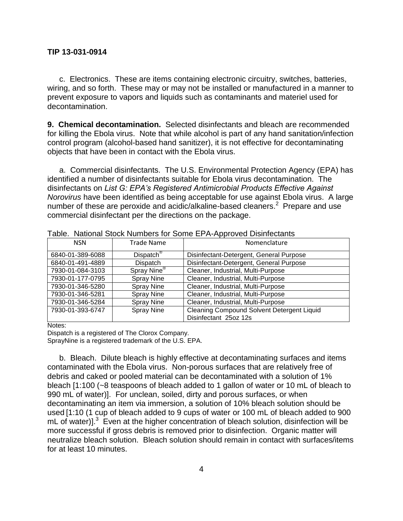c. Electronics. These are items containing electronic circuitry, switches, batteries, wiring, and so forth. These may or may not be installed or manufactured in a manner to prevent exposure to vapors and liquids such as contaminants and materiel used for decontamination.

**9. Chemical decontamination.** Selected disinfectants and bleach are recommended for killing the Ebola virus. Note that while alcohol is part of any hand sanitation/infection control program (alcohol-based hand sanitizer), it is not effective for decontaminating objects that have been in contact with the Ebola virus.

a. Commercial disinfectants. The U.S. Environmental Protection Agency (EPA) has identified a number of disinfectants suitable for Ebola virus decontamination. The disinfectants on *List G: EPA's Registered Antimicrobial Products Effective Against Norovirus* have been identified as being acceptable for use against Ebola virus. A large number of these are peroxide and acidic/alkaline-based cleaners.<sup>2</sup> Prepare and use commercial disinfectant per the directions on the package.

| <b>Lable.</b> Tradibilial Olock Hambers for Oblite El 717 (pproved Distinctionitis |                         |                                            |
|------------------------------------------------------------------------------------|-------------------------|--------------------------------------------|
| <b>NSN</b>                                                                         | <b>Trade Name</b>       | Nomenclature                               |
| 6840-01-389-6088                                                                   | Dispatch <sup>®</sup>   | Disinfectant-Detergent, General Purpose    |
| 6840-01-491-4889                                                                   | Dispatch                | Disinfectant-Detergent, General Purpose    |
| 7930-01-084-3103                                                                   | Spray Nine <sup>®</sup> | Cleaner, Industrial, Multi-Purpose         |
| 7930-01-177-0795                                                                   | <b>Spray Nine</b>       | Cleaner, Industrial, Multi-Purpose         |
| 7930-01-346-5280                                                                   | <b>Spray Nine</b>       | Cleaner, Industrial, Multi-Purpose         |
| 7930-01-346-5281                                                                   | <b>Spray Nine</b>       | Cleaner, Industrial, Multi-Purpose         |
| 7930-01-346-5284                                                                   | <b>Spray Nine</b>       | Cleaner, Industrial, Multi-Purpose         |
| 7930-01-393-6747                                                                   | <b>Spray Nine</b>       | Cleaning Compound Solvent Detergent Liquid |
|                                                                                    |                         | Disinfectant 25oz 12s                      |

Table. National Stock Numbers for Some EPA-Approved Disinfectants

Notes:

Dispatch is a registered of The Clorox Company. SprayNine is a registered trademark of the U.S. EPA.

b. Bleach. Dilute bleach is highly effective at decontaminating surfaces and items contaminated with the Ebola virus. Non-porous surfaces that are relatively free of debris and caked or pooled material can be decontaminated with a solution of 1% bleach [1:100 (~8 teaspoons of bleach added to 1 gallon of water or 10 mL of bleach to 990 mL of water)]. For unclean, soiled, dirty and porous surfaces, or when decontaminating an item via immersion, a solution of 10% bleach solution should be used [1:10 (1 cup of bleach added to 9 cups of water or 100 mL of bleach added to 900 mL of water)].<sup>3</sup> Even at the higher concentration of bleach solution, disinfection will be more successful if gross debris is removed prior to disinfection. Organic matter will neutralize bleach solution. Bleach solution should remain in contact with surfaces/items for at least 10 minutes.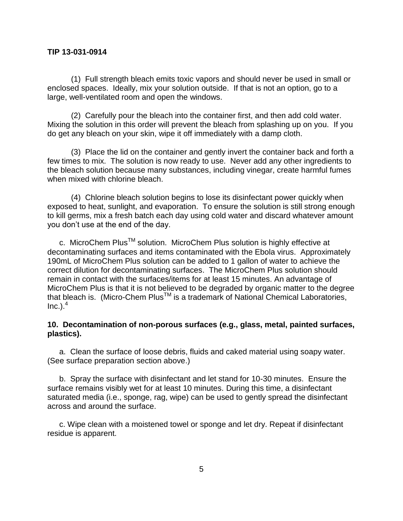(1) Full strength bleach emits toxic vapors and should never be used in small or enclosed spaces. Ideally, mix your solution outside. If that is not an option, go to a large, well-ventilated room and open the windows.

(2) Carefully pour the bleach into the container first, and then add cold water. Mixing the solution in this order will prevent the bleach from splashing up on you. If you do get any bleach on your skin, wipe it off immediately with a damp cloth.

(3) Place the lid on the container and gently invert the container back and forth a few times to mix. The solution is now ready to use. Never add any other ingredients to the bleach solution because many substances, including vinegar, create harmful fumes when mixed with chlorine bleach.

(4) Chlorine bleach solution begins to lose its disinfectant power quickly when exposed to heat, sunlight, and evaporation. To ensure the solution is still strong enough to kill germs, mix a fresh batch each day using cold water and discard whatever amount you don't use at the end of the day.

c. MicroChem Plus<sup>™</sup> solution. MicroChem Plus solution is highly effective at decontaminating surfaces and items contaminated with the Ebola virus. Approximately 190mL of MicroChem Plus solution can be added to 1 gallon of water to achieve the correct dilution for decontaminating surfaces. The MicroChem Plus solution should remain in contact with the surfaces/items for at least 15 minutes. An advantage of MicroChem Plus is that it is not believed to be degraded by organic matter to the degree that bleach is. (Micro-Chem Plus™ is a trademark of National Chemical Laboratories,  $Inc.$ ). $<sup>4</sup>$ </sup>

# **10. Decontamination of non-porous surfaces (e.g., glass, metal, painted surfaces, plastics).**

a. Clean the surface of loose debris, fluids and caked material using soapy water. (See surface preparation section above.)

b. Spray the surface with disinfectant and let stand for 10-30 minutes. Ensure the surface remains visibly wet for at least 10 minutes. During this time, a disinfectant saturated media (i.e., sponge, rag, wipe) can be used to gently spread the disinfectant across and around the surface.

c. Wipe clean with a moistened towel or sponge and let dry. Repeat if disinfectant residue is apparent.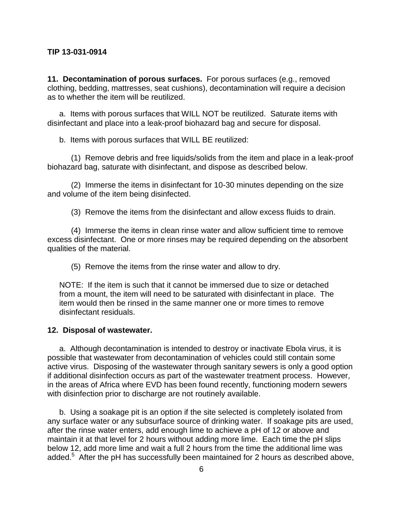**11. Decontamination of porous surfaces.** For porous surfaces (e.g., removed clothing, bedding, mattresses, seat cushions), decontamination will require a decision as to whether the item will be reutilized.

a. Items with porous surfaces that WILL NOT be reutilized. Saturate items with disinfectant and place into a leak-proof biohazard bag and secure for disposal.

b. Items with porous surfaces that WILL BE reutilized:

(1) Remove debris and free liquids/solids from the item and place in a leak-proof biohazard bag, saturate with disinfectant, and dispose as described below.

(2) Immerse the items in disinfectant for 10-30 minutes depending on the size and volume of the item being disinfected.

(3) Remove the items from the disinfectant and allow excess fluids to drain.

(4) Immerse the items in clean rinse water and allow sufficient time to remove excess disinfectant. One or more rinses may be required depending on the absorbent qualities of the material.

(5) Remove the items from the rinse water and allow to dry.

NOTE: If the item is such that it cannot be immersed due to size or detached from a mount, the item will need to be saturated with disinfectant in place. The item would then be rinsed in the same manner one or more times to remove disinfectant residuals.

#### **12. Disposal of wastewater.**

a. Although decontamination is intended to destroy or inactivate Ebola virus, it is possible that wastewater from decontamination of vehicles could still contain some active virus. Disposing of the wastewater through sanitary sewers is only a good option if additional disinfection occurs as part of the wastewater treatment process. However, in the areas of Africa where EVD has been found recently, functioning modern sewers with disinfection prior to discharge are not routinely available.

b. Using a soakage pit is an option if the site selected is completely isolated from any surface water or any subsurface source of drinking water. If soakage pits are used, after the rinse water enters, add enough lime to achieve a pH of 12 or above and maintain it at that level for 2 hours without adding more lime. Each time the pH slips below 12, add more lime and wait a full 2 hours from the time the additional lime was added.<sup>5</sup> After the pH has successfully been maintained for 2 hours as described above,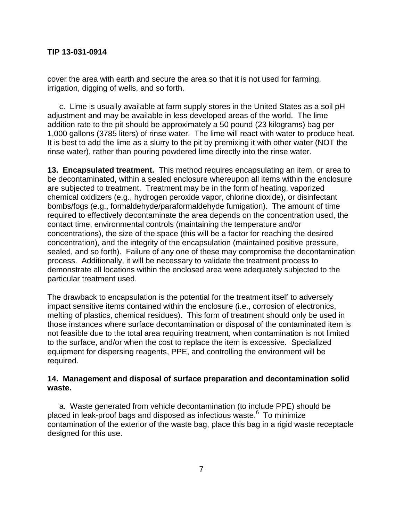cover the area with earth and secure the area so that it is not used for farming, irrigation, digging of wells, and so forth.

c. Lime is usually available at farm supply stores in the United States as a soil pH adjustment and may be available in less developed areas of the world. The lime addition rate to the pit should be approximately a 50 pound (23 kilograms) bag per 1,000 gallons (3785 liters) of rinse water. The lime will react with water to produce heat. It is best to add the lime as a slurry to the pit by premixing it with other water (NOT the rinse water), rather than pouring powdered lime directly into the rinse water.

**13. Encapsulated treatment.** This method requires encapsulating an item, or area to be decontaminated, within a sealed enclosure whereupon all items within the enclosure are subjected to treatment. Treatment may be in the form of heating, vaporized chemical oxidizers (e.g., hydrogen peroxide vapor, chlorine dioxide), or disinfectant bombs/fogs (e.g., formaldehyde/paraformaldehyde fumigation). The amount of time required to effectively decontaminate the area depends on the concentration used, the contact time, environmental controls (maintaining the temperature and/or concentrations), the size of the space (this will be a factor for reaching the desired concentration), and the integrity of the encapsulation (maintained positive pressure, sealed, and so forth). Failure of any one of these may compromise the decontamination process. Additionally, it will be necessary to validate the treatment process to demonstrate all locations within the enclosed area were adequately subjected to the particular treatment used.

The drawback to encapsulation is the potential for the treatment itself to adversely impact sensitive items contained within the enclosure (i.e., corrosion of electronics, melting of plastics, chemical residues). This form of treatment should only be used in those instances where surface decontamination or disposal of the contaminated item is not feasible due to the total area requiring treatment, when contamination is not limited to the surface, and/or when the cost to replace the item is excessive. Specialized equipment for dispersing reagents, PPE, and controlling the environment will be required.

# **14. Management and disposal of surface preparation and decontamination solid waste.**

a. Waste generated from vehicle decontamination (to include PPE) should be placed in leak-proof bags and disposed as infectious waste.<sup>6</sup> To minimize contamination of the exterior of the waste bag, place this bag in a rigid waste receptacle designed for this use.